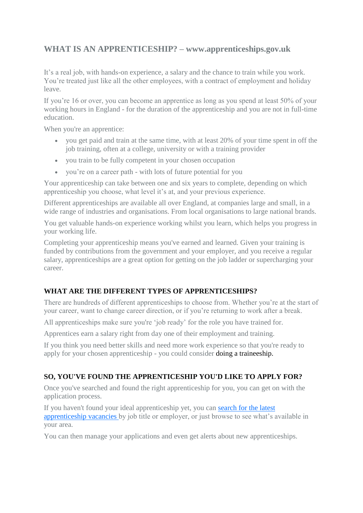# **WHAT IS AN APPRENTICESHIP? – www.apprenticeships.gov.uk**

It's a real job, with hands-on experience, a salary and the chance to train while you work. You're treated just like all the other employees, with a contract of employment and holiday leave.

If you're 16 or over, you can become an apprentice as long as you spend at least 50% of your working hours in England - for the duration of the apprenticeship and you are not in full-time education.

When you're an apprentice:

- you get paid and train at the same time, with at least 20% of your time spent in off the job training, often at a college, university or with a training provider
- vou train to be fully competent in your chosen occupation
- you're on a career path with lots of future potential for you

Your apprenticeship can take between one and six years to complete, depending on which apprenticeship you choose, what level it's at, and your previous experience.

Different apprenticeships are available all over England, at companies large and small, in a wide range of industries and organisations. From local organisations to large national brands.

You get valuable hands-on experience working whilst you learn, which helps you progress in your working life.

Completing your apprenticeship means you've earned and learned. Given your training is funded by contributions from the government and your employer, and you receive a regular salary, apprenticeships are a great option for getting on the job ladder or supercharging your career.

# **WHAT ARE THE DIFFERENT TYPES OF APPRENTICESHIPS?**

There are hundreds of different apprenticeships to choose from. Whether you're at the start of your career, want to change career direction, or if you're returning to work after a break.

All apprenticeships make sure you're 'job ready' for the role you have trained for.

Apprentices earn a salary right from day one of their employment and training.

If you think you need better skills and need more work experience so that you're ready to apply for your chosen apprenticeship - you could consider [doing a traineeship.](https://www.gov.uk/find-traineeship)

# **SO, YOU'VE FOUND THE APPRENTICESHIP YOU'D LIKE TO APPLY FOR?**

Once you've searched and found the right apprenticeship for you, you can get on with the application process.

If you haven't found your ideal apprenticeship yet, you can [search for the latest](https://www.apprenticeships.gov.uk/apprentice/find-an-apprenticeship)  [apprenticeship vacancies](https://www.apprenticeships.gov.uk/apprentice/find-an-apprenticeship) by job title or employer, or just browse to see what's available in your area.

You can then manage your applications and even get alerts about new apprenticeships.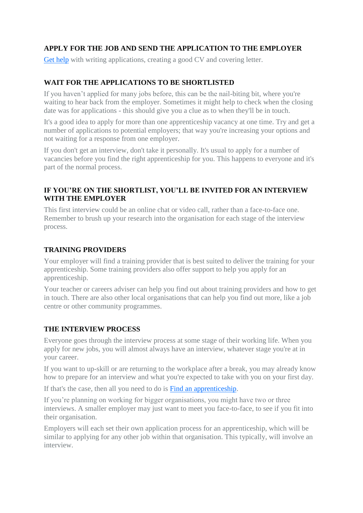# **APPLY FOR THE JOB AND SEND THE APPLICATION TO THE EMPLOYER**

[Get help](https://nationalcareersservice.direct.gov.uk/get-a-job/cv-sections) with writing applications, creating a good CV and covering letter.

# **WAIT FOR THE APPLICATIONS TO BE SHORTLISTED**

If you haven't applied for many jobs before, this can be the nail-biting bit, where you're waiting to hear back from the employer. Sometimes it might help to check when the closing date was for applications - this should give you a clue as to when they'll be in touch.

It's a good idea to apply for more than one apprenticeship vacancy at one time. Try and get a number of applications to potential employers; that way you're increasing your options and not waiting for a response from one employer.

If you don't get an interview, don't take it personally. It's usual to apply for a number of vacancies before you find the right apprenticeship for you. This happens to everyone and it's part of the normal process.

# **IF YOU'RE ON THE SHORTLIST, YOU'LL BE INVITED FOR AN INTERVIEW WITH THE EMPLOYER**

This first interview could be an online chat or video call, rather than a face-to-face one. Remember to brush up your research into the organisation for each stage of the interview process.

#### **TRAINING PROVIDERS**

Your employer will find a training provider that is best suited to deliver the training for your apprenticeship. Some training providers also offer support to help you apply for an apprenticeship.

Your teacher or careers adviser can help you find out about training providers and how to get in touch. There are also other local organisations that can help you find out more, like a job centre or other community programmes.

#### **THE INTERVIEW PROCESS**

Everyone goes through the interview process at some stage of their working life. When you apply for new jobs, you will almost always have an interview, whatever stage you're at in your career.

If you want to up-skill or are returning to the workplace after a break, you may already know how to prepare for an interview and what you're expected to take with you on your first day.

If that's the case, then all you need to do is [Find an apprenticeship.](https://www.apprenticeships.gov.uk/apprentice/find-an-apprenticeship)

If you're planning on working for bigger organisations, you might have two or three interviews. A smaller employer may just want to meet you face-to-face, to see if you fit into their organisation.

Employers will each set their own application process for an apprenticeship, which will be similar to applying for any other job within that organisation. This typically, will involve an interview.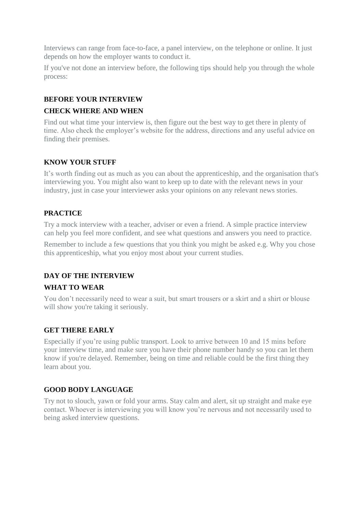Interviews can range from face-to-face, a panel interview, on the telephone or online. It just depends on how the employer wants to conduct it.

If you've not done an interview before, the following tips should help you through the whole process:

# **BEFORE YOUR INTERVIEW**

#### **CHECK WHERE AND WHEN**

Find out what time your interview is, then figure out the best way to get there in plenty of time. Also check the employer's website for the address, directions and any useful advice on finding their premises.

#### **KNOW YOUR STUFF**

It's worth finding out as much as you can about the apprenticeship, and the organisation that's interviewing you. You might also want to keep up to date with the relevant news in your industry, just in case your interviewer asks your opinions on any relevant news stories.

# **PRACTICE**

Try a mock interview with a teacher, adviser or even a friend. A simple practice interview can help you feel more confident, and see what questions and answers you need to practice.

Remember to include a few questions that you think you might be asked e.g. Why you chose this apprenticeship, what you enjoy most about your current studies.

# **DAY OF THE INTERVIEW**

# **WHAT TO WEAR**

You don't necessarily need to wear a suit, but smart trousers or a skirt and a shirt or blouse will show you're taking it seriously.

# **GET THERE EARLY**

Especially if you're using public transport. Look to arrive between 10 and 15 mins before your interview time, and make sure you have their phone number handy so you can let them know if you're delayed. Remember, being on time and reliable could be the first thing they learn about you.

#### **GOOD BODY LANGUAGE**

Try not to slouch, yawn or fold your arms. Stay calm and alert, sit up straight and make eye contact. Whoever is interviewing you will know you're nervous and not necessarily used to being asked interview questions.